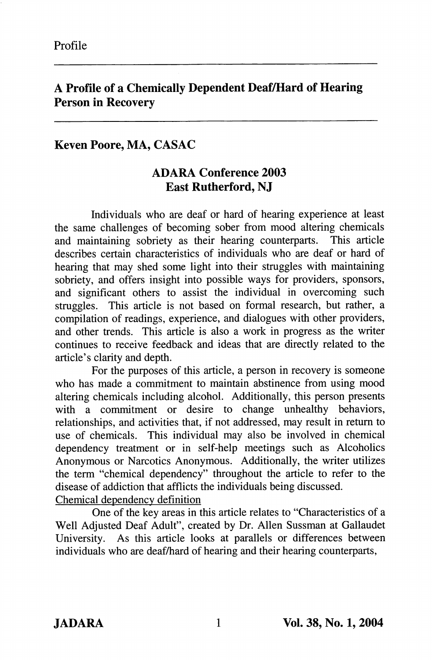## A Profile of a Chemically Dependent Deaf/Hard of Hearing Person in Recovery

## Keven Poore, MA, CASAC

## ADARA Conference 2003 East Rutherford, NJ

Individuals who are deaf or hard of hearing experience at least the same challenges of becoming sober from mood altering chemicals and maintaining sobriety as their hearing counterparts. This article describes certain characteristics of individuals who are deaf or hard of hearing that may shed some light into their struggles with maintaining sobriety, and offers insight into possible ways for providers, sponsors, and significant others to assist the individual in overcoming such struggles. This article is not based on formal research, but rather, a compilation of readings, experience, and dialogues with other providers, and other trends. This article is also a work in progress as the writer continues to receive feedback and ideas that are directly related to the article's clarity and depth.

For the purposes of this article, a person in recovery is someone who has made a commitment to maintain abstinence from using mood altering chemicals including alcohol. Additionally, this person presents with a commitment or desire to change unhealthy behaviors, relationships, and activities that, if not addressed, may result in return to use of chemicals. This individual may also be involved in chemical dependency treatment or in self-help meetings such as Alcoholics Anonymous or Narcotics Anonymous. Additionally, the writer utilizes the term "chemical dependency" throughout the article to refer to the disease of addiction that afflicts the individuals being discussed. Chemical dependencv definition

One of the key areas in this article relates to "Characteristics of a Well Adjusted Deaf Adult", created by Dr. Allen Sussman at Gallaudet University. As this article looks at parallels or differences between individuals who are deaf/hard of hearing and their hearing counterparts.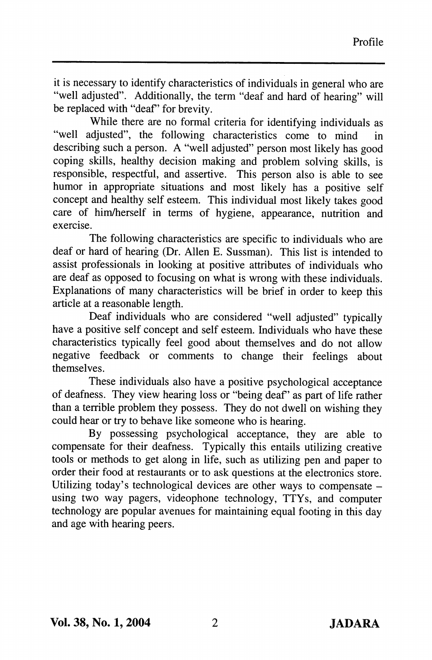it is necessary to identify characteristics of individuals in general who are "well adjusted". Additionally, the term "deaf and hard of hearing" will be replaced with "deaf" for brevity.

While there are no formal criteria for identifying individuals as "well adjusted", the following characteristics come to mind in describing such a person. A "well adjusted" person most likely has good coping skills, healthy decision making and problem solving skills, is responsible, respectful, and assertive. This person also is able to see humor in appropriate situations and most likely has a positive self concept and healthy self esteem. This individual most likely takes good care of him/herself in terms of hygiene, appearance, nutrition and exercise.

The following characteristics are specific to individuals who are deaf or hard of hearing (Dr. Allen E. Sussman). This list is intended to assist professionals in looking at positive attributes of individuals who are deaf as opposed to focusing on what is wrong with these individuals. Explanations of many characteristics will be brief in order to keep this article at a reasonable length.

Deaf individuals who are considered "well adjusted" typically have a positive self concept and self esteem. Individuals who have these characteristics typically feel good about themselves and do not allow negative feedback or comments to change their feelings about themselves.

These individuals also have a positive psychological acceptance of deafness. They view hearing loss or "being deaf" as part of life rather than a terrible problem they possess. They do not dwell on wishing they could hear or try to behave like someone who is hearing.

By possessing psychological acceptance, they are able to compensate for their deafness. Typically this entails utilizing creative tools or methods to get along in life, such as utilizing pen and paper to order their food at restaurants or to ask questions at the electronics store. Utilizing today's technological devices are other ways to compensate  $$ using two way pagers, videophone technology, TTYs, and computer technology are popular avenues for maintaining equal footing in this day and age with hearing peers.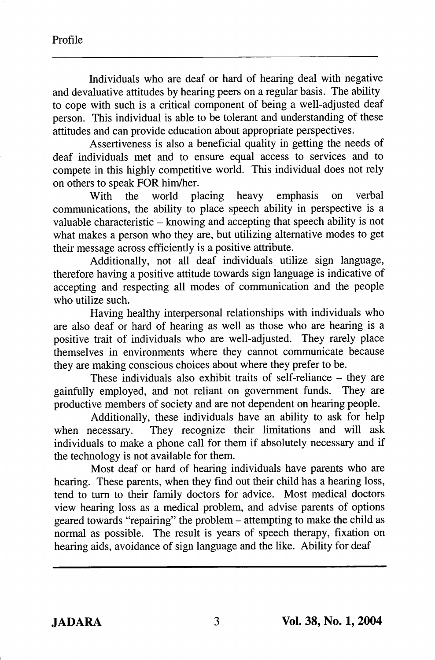Individuals who are deaf or hard of hearing deal with negative and devaluative attitudes by hearing peers on a regular basis. The ability to cope with such is a critical component of being a well-adjusted deaf person. This individual is able to be tolerant and understanding of these attitudes and can provide education about appropriate perspectives.

Assertiveness is also a beneficial quality in getting the needs of deaf individuals met and to ensure equal access to services and to compete in this highly competitive world. This individual does not rely on others to speak FOR him/her.<br>With the world placing

With the world placing heavy emphasis on verbal communications, the ability to place speech ability in perspective is a valuable characteristic  $-$  knowing and accepting that speech ability is not what makes a person who they are, but utilizing alternative modes to get their message across efficiently is a positive attribute.

Additionally, not all deaf individuals utilize sign language, therefore having a positive attitude towards sign language is indicative of accepting and respecting all modes of communication and the people who utilize such.

Having healthy interpersonal relationships with individuals who are also deaf or hard of hearing as well as those who are hearing is a positive trait of individuals who are well-adjusted. They rarely place themselves in environments where they cannot communicate because they are making conscious choices about where they prefer to be.

These individuals also exhibit traits of self-reliance – they are v employed, and not reliant on government funds. They are gainfully employed, and not reliant on government funds. productive members of society and are not dependent on hearing people.

Additionally, these individuals have an ability to ask for help when necessary. They recognize their limitations and will ask individuals to make a phone call for them if absolutely necessary and if the technology is not available for them.

Most deaf or hard of hearing individuals have parents who are hearing. These parents, when they find out their child has a hearing loss, tend to turn to their family doctors for advice. Most medical doctors view hearing loss as a medical problem, and advise parents of options geared towards "repairing" the problem - attempting to make the child as normal as possible. The result is years of speech therapy, fixation on hearing aids, avoidance of sign language and the like. Ability for deaf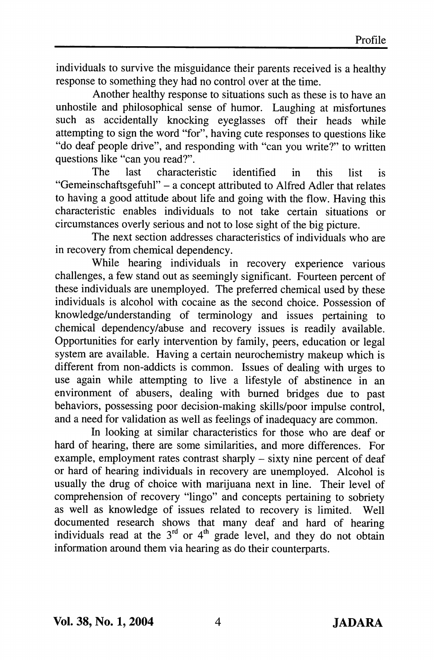individuals to survive the misguidance their parents received is a healthy response to something they had no control over at the time.

Another healthy response to situations such as these is to have an unhostile and philosophical sense of humor. Laughing at misfortunes such as accidentally knocking eyeglasses off their heads while attempting to sign the word "for", having cute responses to questions like "do deaf people drive", and responding with "can you write?" to written questions like "can you read?".

The last characteristic identified in this list is "Gemeinschaftsgefuhl" - a concept attributed to Alfred Adler that relates to having a good attitude about life and going with the flow. Having this characteristic enables individuals to not take certain situations or circumstances overly serious and not to lose sight of the big picture.

The next section addresses characteristics of individuals who are in recovery from chemical dependency.

While hearing individuals in recovery experience various challenges, a few stand out as seemingly significant. Fourteen percent of these individuals are unemployed. The preferred chemical used by these individuals is alcohol with cocaine as the second choice. Possession of knowledge/understanding of terminology and issues pertaining to chemical dependency/abuse and recovery issues is readily available. Opportunities for early intervention by family, peers, education or legal system are available. Having a certain neurochemistry makeup which is different from non-addicts is common. Issues of dealing with urges to use again while attempting to live a lifestyle of abstinence in an environment of abusers, dealing with burned bridges due to past behaviors, possessing poor decision-making skills/poor impulse control, and a need for validation as well as feelings of inadequacy are common.

In looking at similar characteristics for those who are deaf or hard of hearing, there are some similarities, and more differences. For example, employment rates contrast sharply – sixty nine percent of deaf or hard of hearing individuals in recovery are unemployed. Alcohol is usually the drug of choice with marijuana next in line. Their level of comprehension of recovery "lingo" and concepts pertaining to sobriety as well as knowledge of issues related to recovery is limited. Well documented research shows that many deaf and hard of hearing individuals read at the  $3<sup>rd</sup>$  or  $4<sup>th</sup>$  grade level, and they do not obtain information around them via hearing as do their counterparts.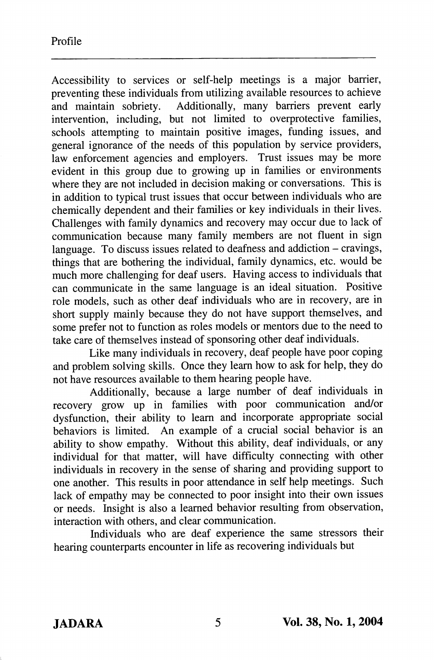Accessibility to services or self-help meetings is a major barrier, preventing these individuals from utilizing available resources to achieve<br>and maintain sobriety. Additionally, many barriers prevent early Additionally, many barriers prevent early intervention, including, but not limited to overprotective families, schools attempting to maintain positive images, funding issues, and general ignorance of the needs of this population by service providers, law enforcement agencies and employers. Trust issues may be more evident in this group due to growing up in families or environments where they are not included in decision making or conversations. This is in addition to typical trust issues that occur between individuals who are chemically dependent and their families or key individuals in their lives. Challenges with family dynamics and recovery may occur due to lack of communication because many family members are not fluent in sign language. To discuss issues related to deafness and addiction  $-$  cravings, things that are bothering the individual, family dynamics, etc. would be much more challenging for deaf users. Having access to individuals that can communicate in the same language is an ideal situation. Positive role models, such as other deaf individuals who are in recovery, are in short supply mainly because they do not have support themselves, and some prefer not to function as roles models or mentors due to the need to take care of themselves instead of sponsoring other deaf individuals.

Like many individuals in recovery, deaf people have poor coping and problem solving skills. Once they learn how to ask for help, they do not have resources available to them hearing people have.

Additionally, because a large number of deaf individuals in recovery grow up in families with poor communication and/or dysfunction, their ability to learn and incorporate appropriate social behaviors is limited. An example of a crucial social behavior is an ability to show empathy. Without this ability, deaf individuals, or any individual for that matter, will have difficulty connecting with other individuals in recovery in the sense of sharing and providing support to one another. This results in poor attendance in self help meetings. Such lack of empathy may be connected to poor insight into their own issues or needs. Insight is also a learned behavior resulting from observation, interaction with others, and clear communication.

Individuals who are deaf experience the same stressors their hearing counterparts encounter in life as recovering individuals but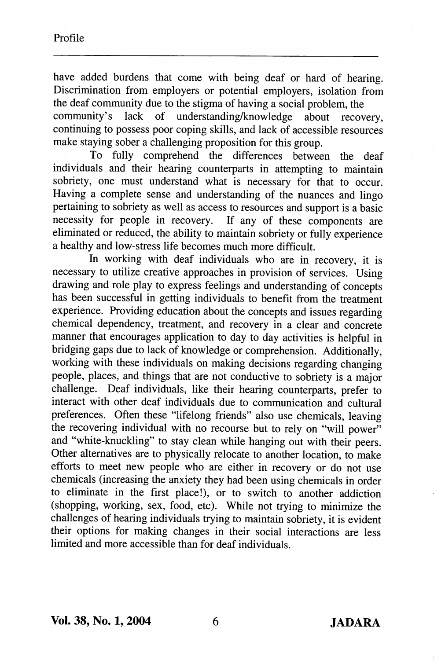have added burdens that come with being deaf or hard of hearing. Discrimination from employers or potential employers, isolation from the deaf community due to the stigma of having a social problem, the community's lack of understanding/knowledge about recovery, continuing to possess poor coping skills, and lack of accessible resources make staying sober a challenging proposition for this group.

To fully comprehend the differences between the deaf individuals and their hearing counterparts in attempting to maintain sobriety, one must understand what is necessary for that to occur. Having a complete sense and understanding of the nuances and lingo pertaining to sobriety as well as access to resources and support is a basic necessity for people in recovery. If any of these components are eliminated or reduced, the ability to maintain sobriety or fully experience a healthy and low-stress life becomes much more difficult.

In working with deaf individuals who are in recovery, it is necessary to utilize creative approaches in provision of services. Using drawing and role play to express feelings and understanding of concepts has been successful in getting individuals to benefit from the treatment experience. Providing education about the concepts and issues regarding chemical dependency, treatment, and recovery in a clear and concrete manner that encourages application to day to day activities is helpful in bridging gaps due to lack of knowledge or comprehension. Additionally, working with these individuals on making decisions regarding changing people, places, and things that are not conductive to sobriety is a major challenge. Deaf individuals, like their hearing counterparts, prefer to interact with other deaf individuals due to communication and cultural preferences. Often these "lifelong friends" also use chemicals, leaving the recovering individual with no recourse but to rely on "will power" and "white-knuckling" to stay clean while hanging out with their peers. Other alternatives are to physically relocate to another location, to make efforts to meet new people who are either in recovery or do not use chemicals (increasing the anxiety they had been using chemicals in order to eliminate in the first place!), or to switch to another addiction (shopping, working, sex, food, etc). While not trying to minimize the challenges of hearing individuals trying to maintain sobriety, it is evident their options for making changes in their social interactions are less limited and more accessible than for deaf individuals.